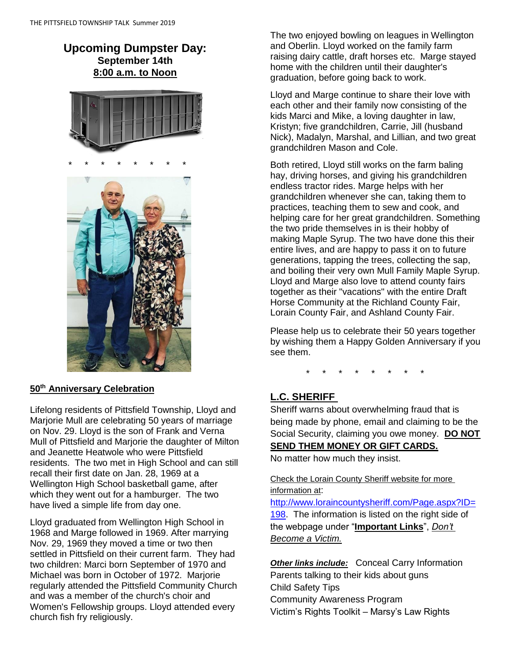# **Upcoming Dumpster Day: September 14th 8:00 a.m. to Noon**



# **50th Anniversary Celebration**

Lifelong residents of Pittsfield Township, Lloyd and Marjorie Mull are celebrating 50 years of marriage on Nov. 29. Lloyd is the son of Frank and Verna Mull of Pittsfield and Marjorie the daughter of Milton and Jeanette Heatwole who were Pittsfield residents. The two met in High School and can still recall their first date on Jan. 28, 1969 at a Wellington High School basketball game, after which they went out for a hamburger. The two have lived a simple life from day one.

Lloyd graduated from Wellington High School in 1968 and Marge followed in 1969. After marrying Nov. 29, 1969 they moved a time or two then settled in Pittsfield on their current farm. They had two children: Marci born September of 1970 and Michael was born in October of 1972. Marjorie regularly attended the Pittsfield Community Church and was a member of the church's choir and Women's Fellowship groups. Lloyd attended every church fish fry religiously.

The two enjoyed bowling on leagues in Wellington and Oberlin. Lloyd worked on the family farm raising dairy cattle, draft horses etc. Marge stayed home with the children until their daughter's graduation, before going back to work.

Lloyd and Marge continue to share their love with each other and their family now consisting of the kids Marci and Mike, a loving daughter in law, Kristyn; five grandchildren, Carrie, Jill (husband Nick), Madalyn, Marshal, and Lillian, and two great grandchildren Mason and Cole.

Both retired, Lloyd still works on the farm baling hay, driving horses, and giving his grandchildren endless tractor rides. Marge helps with her grandchildren whenever she can, taking them to practices, teaching them to sew and cook, and helping care for her great grandchildren. Something the two pride themselves in is their hobby of making Maple Syrup. The two have done this their entire lives, and are happy to pass it on to future generations, tapping the trees, collecting the sap, and boiling their very own Mull Family Maple Syrup. Lloyd and Marge also love to attend county fairs together as their "vacations" with the entire Draft Horse Community at the Richland County Fair, Lorain County Fair, and Ashland County Fair.

Please help us to celebrate their 50 years together by wishing them a Happy Golden Anniversary if you see them.

\* \* \* \* \* \* \* \*

## **L.C. SHERIFF**

Sheriff warns about overwhelming fraud that is being made by phone, email and claiming to be the Social Security, claiming you owe money. **DO NOT SEND THEM MONEY OR GIFT CARDS.**

No matter how much they insist.

Check the Lorain County Sheriff website for more information at:

[http://www.loraincountysheriff.com/Page.aspx?ID=](http://www.loraincountysheriff.com/Page.aspx?ID=198) [198.](http://www.loraincountysheriff.com/Page.aspx?ID=198) The information is listed on the right side of the webpage under "**Important Links**", *Don't Become a Victim.*

*Other links include:* Conceal Carry Information Parents talking to their kids about guns Child Safety Tips Community Awareness Program Victim's Rights Toolkit – Marsy's Law Rights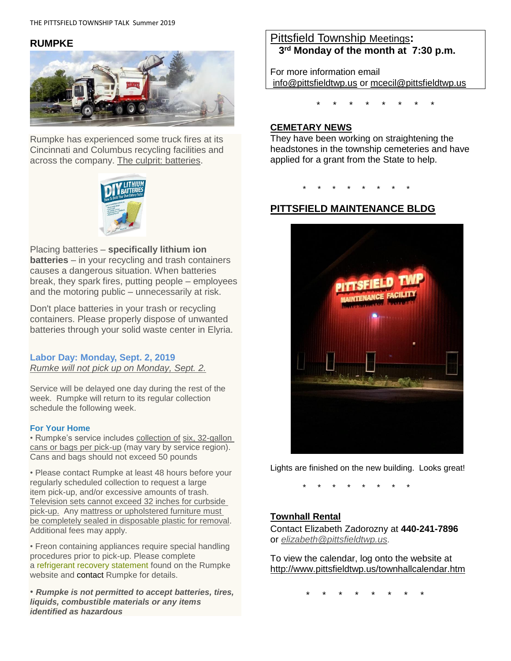#### **RUMPKE**



Rumpke has experienced some truck fires at its Cincinnati and Columbus recycling facilities and across the company. The culprit: batteries.



Placing batteries – **specifically lithium ion batteries** – in your recycling and trash containers causes a dangerous situation. When batteries break, they spark fires, putting people – employees and the motoring public – unnecessarily at risk.

Don't place batteries in your trash or recycling containers. Please properly dispose of unwanted batteries through your solid waste center in Elyria.

#### **Labor Day: Monday, Sept. 2, 2019** *Rumke will not pick up on Monday, Sept. 2.*

Service will be delayed one day during the rest of the week. Rumpke will return to its regular collection schedule the following week.

#### **[For Your Home](https://www.rumpke.com/for-your-home)**

• Rumpke's service includes collection of six, 32-gallon cans or bags per pick-up (may vary by service region). Cans and bags should not exceed 50 pounds

• Please contact Rumpke at least 48 hours before your regularly scheduled collection to request a large item pick-up, and/or excessive amounts of trash. Television sets cannot exceed 32 inches for curbside pick-up. Any mattress or upholstered furniture must be completely sealed in disposable plastic for removal. Additional fees may apply.

• Freon containing appliances require special handling procedures prior to pick-up. Please complete a [refrigerant recovery statement](https://www.rumpke.com/docs/default-source/default-document-library/refrigerant-recovery-statement.pdf?sfvrsn=4) found on the Rumpke website and [contact](https://www.rumpke.com/contact-us/request-service) Rumpke for details.

• *Rumpke is not permitted to accept batteries, tires, liquids, combustible materials or any items identified as hazardous*

# Pittsfield Township Meetings**: 3 rd Monday of the month at 7:30 p.m.**

For more information email

[info@pittsfieldtwp.us](mailto:info@pittsfieldtwp.u) or [mcecil@pittsfieldtwp.us](mailto:tdiedrick@pittsfieldtwp.us)

\* \* \* \* \* \* \* \*

#### **CEMETARY NEWS**

They have been working on straightening the headstones in the township cemeteries and have applied for a grant from the State to help.

\* \* \* \* \* \* \* \*

## **PITTSFIELD MAINTENANCE BLDG**



Lights are finished on the new building. Looks great!

\* \* \* \* \* \* \* \*

#### **Townhall Rental**

Contact Elizabeth Zadorozny at **440-241-7896** or *[elizabeth@pittsfieldtwp.us.](mailto:elizabeth@pittsfieldtwp.us)*

To view the calendar, log onto the website at <http://www.pittsfieldtwp.us/townhallcalendar.htm>

\* \* \* \* \* \* \* \*